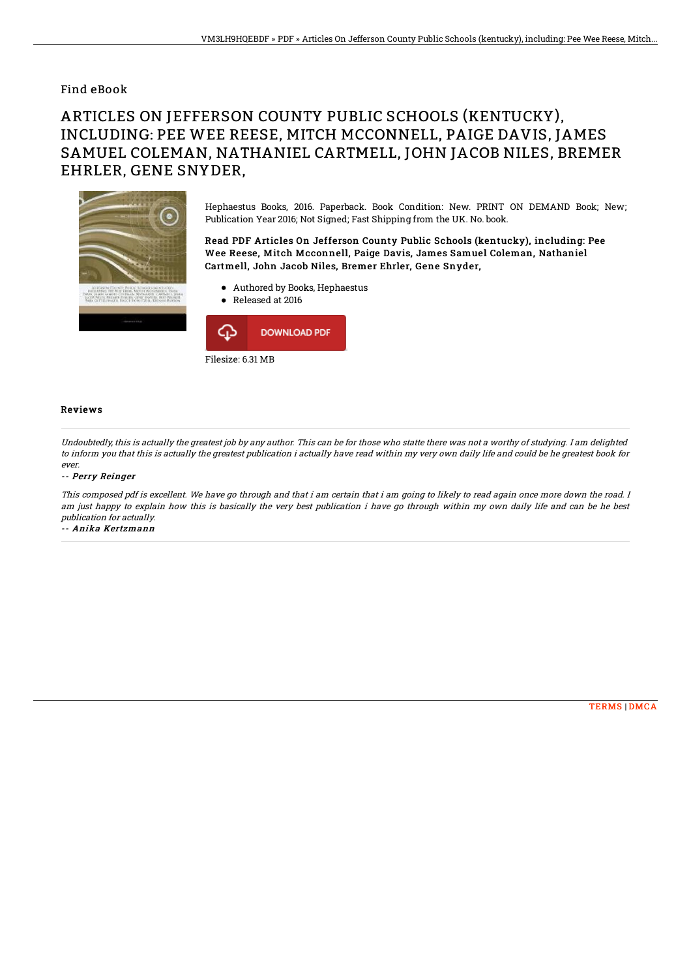## Find eBook

# ARTICLES ON JEFFERSON COUNTY PUBLIC SCHOOLS (KENTUCKY), INCLUDING: PEE WEE REESE, MITCH MCCONNELL, PAIGE DAVIS, JAMES SAMUEL COLEMAN, NATHANIEL CARTMELL, JOHN JACOB NILES, BREMER EHRLER, GENE SNYDER,



Hephaestus Books, 2016. Paperback. Book Condition: New. PRINT ON DEMAND Book; New; Publication Year 2016; Not Signed; Fast Shipping from the UK. No. book.

### Read PDF Articles On Jefferson County Public Schools (kentucky), including: Pee Wee Reese, Mitch Mcconnell, Paige Davis, James Samuel Coleman, Nathaniel Cartmell, John Jacob Niles, Bremer Ehrler, Gene Snyder,

- Authored by Books, Hephaestus
- Released at 2016



#### Reviews

Undoubtedly, this is actually the greatest job by any author. This can be for those who statte there was not <sup>a</sup> worthy of studying. I am delighted to inform you that this is actually the greatest publication i actually have read within my very own daily life and could be he greatest book for ever.

#### -- Perry Reinger

This composed pdf is excellent. We have go through and that i am certain that i am going to likely to read again once more down the road. I am just happy to explain how this is basically the very best publication i have go through within my own daily life and can be he best publication for actually. -- Anika Kertzmann